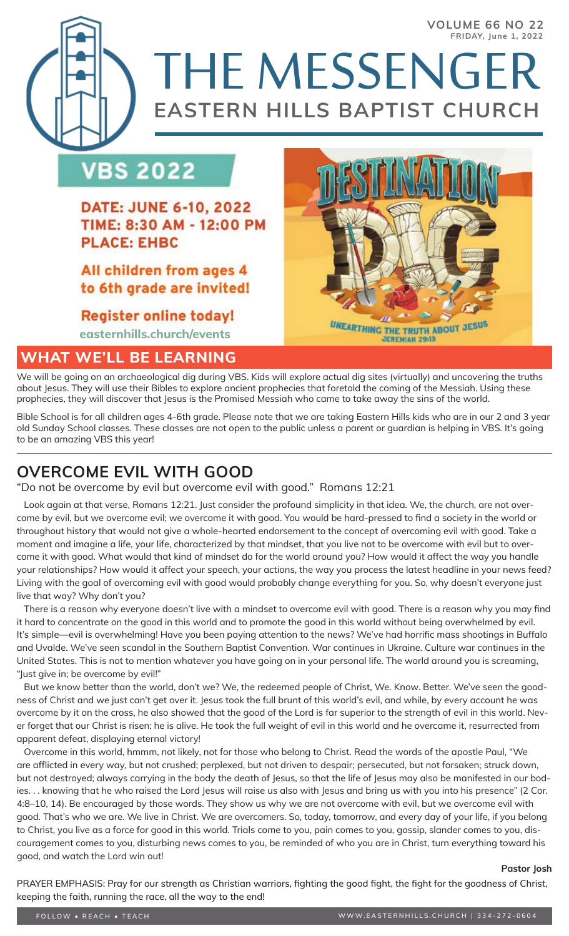# **VBS 2022**

**DATE: JUNE 6-10, 2022** TIME: 8:30 AM - 12:00 PM **PLACE: EHBC** 

All children from ages 4 to 6th grade are invited!

**Register online today! easternhills.church/events**

## **WHAT WE'LL BE LEARNING**



THE MESSENGER

**EASTERN HILLS BAPTIST CHURCH**

We will be going on an archaeological dig during VBS. Kids will explore actual dig sites (virtually) and uncovering the truths about Jesus. They will use their Bibles to explore ancient prophecies that foretold the coming of the Messiah. Using these prophecies, they will discover that Jesus is the Promised Messiah who came to take away the sins of the world.

Bible School is for all children ages 4-6th grade. Please note that we are taking Eastern Hills kids who are in our 2 and 3 year old Sunday School classes. These classes are not open to the public unless a parent or guardian is helping in VBS. It's going to be an amazing VBS this year!

## **OVERCOME EVIL WITH GOOD**

"Do not be overcome by evil but overcome evil with good." Romans 12:21

 Look again at that verse, Romans 12:21. Just consider the profound simplicity in that idea. We, the church, are not overcome by evil, but we overcome evil; we overcome it with good. You would be hard-pressed to find a society in the world or throughout history that would not give a whole-hearted endorsement to the concept of overcoming evil with good. Take a moment and imagine a life, your life, characterized by that mindset, that you live not to be overcome with evil but to overcome it with good. What would that kind of mindset do for the world around you? How would it affect the way you handle your relationships? How would it affect your speech, your actions, the way you process the latest headline in your news feed? Living with the goal of overcoming evil with good would probably change everything for you. So, why doesn't everyone just live that way? Why don't you?

 There is a reason why everyone doesn't live with a mindset to overcome evil with good. There is a reason why you may find it hard to concentrate on the good in this world and to promote the good in this world without being overwhelmed by evil. It's simple—evil is overwhelming! Have you been paying attention to the news? We've had horrific mass shootings in Buffalo and Uvalde. We've seen scandal in the Southern Baptist Convention. War continues in Ukraine. Culture war continues in the United States. This is not to mention whatever you have going on in your personal life. The world around you is screaming, "Just give in; be overcome by evil!"

 But we know better than the world, don't we? We, the redeemed people of Christ, We. Know. Better. We've seen the goodness of Christ and we just can't get over it. Jesus took the full brunt of this world's evil, and while, by every account he was overcome by it on the cross, he also showed that the good of the Lord is far superior to the strength of evil in this world. Never forget that our Christ is risen; he is alive. He took the full weight of evil in this world and he overcame it, resurrected from apparent defeat, displaying eternal victory!

 Overcome in this world, hmmm, not likely, not for those who belong to Christ. Read the words of the apostle Paul, "We are afflicted in every way, but not crushed; perplexed, but not driven to despair; persecuted, but not forsaken; struck down, but not destroyed; always carrying in the body the death of Jesus, so that the life of Jesus may also be manifested in our bodies. . . knowing that he who raised the Lord Jesus will raise us also with Jesus and bring us with you into his presence" (2 Cor. 4:8–10, 14). Be encouraged by those words. They show us why we are not overcome with evil, but we overcome evil with good. That's who we are. We live in Christ. We are overcomers. So, today, tomorrow, and every day of your life, if you belong to Christ, you live as a force for good in this world. Trials come to you, pain comes to you, gossip, slander comes to you, discouragement comes to you, disturbing news comes to you, be reminded of who you are in Christ, turn everything toward his good, and watch the Lord win out!

#### **Pastor Josh**

PRAYER EMPHASIS: Pray for our strength as Christian warriors, fighting the good fight, the fight for the goodness of Christ, keeping the faith, running the race, all the way to the end!